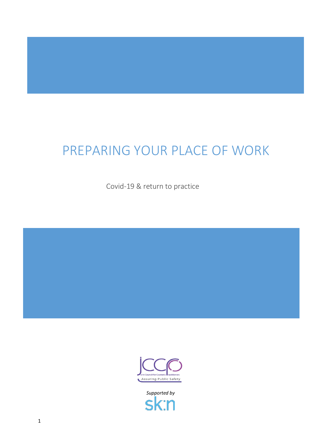# PREPARING YOUR PLACE OF WORK

Covid-19 & return to practice



*Supported by*П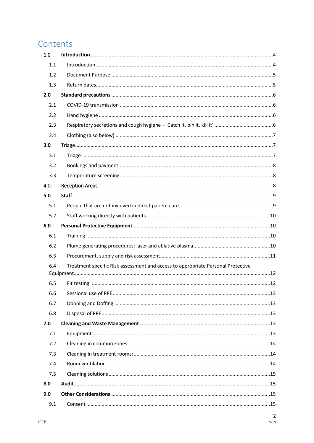## Contents

| 1.0 |                                                                                  |  |
|-----|----------------------------------------------------------------------------------|--|
| 1.1 |                                                                                  |  |
| 1.2 |                                                                                  |  |
| 1.3 |                                                                                  |  |
| 2.0 |                                                                                  |  |
| 2.1 |                                                                                  |  |
| 2.2 |                                                                                  |  |
| 2.3 |                                                                                  |  |
| 2.4 |                                                                                  |  |
| 3.0 |                                                                                  |  |
| 3.1 |                                                                                  |  |
| 3.2 |                                                                                  |  |
| 3.3 |                                                                                  |  |
| 4.0 |                                                                                  |  |
| 5.0 |                                                                                  |  |
| 5.1 |                                                                                  |  |
| 5.2 |                                                                                  |  |
| 6.0 |                                                                                  |  |
| 6.1 |                                                                                  |  |
| 6.2 |                                                                                  |  |
|     |                                                                                  |  |
| 6.3 |                                                                                  |  |
| 6.4 | Treatment specific Risk assessment and access to appropriate Personal Protective |  |
|     |                                                                                  |  |
| 6.5 |                                                                                  |  |
| 6.6 |                                                                                  |  |
| 6.7 |                                                                                  |  |
| 6.8 |                                                                                  |  |
| 7.0 |                                                                                  |  |
| 7.1 |                                                                                  |  |
| 7.2 |                                                                                  |  |
| 7.3 |                                                                                  |  |
| 7.4 |                                                                                  |  |
| 7.5 |                                                                                  |  |
| 8.0 |                                                                                  |  |
| 9.0 |                                                                                  |  |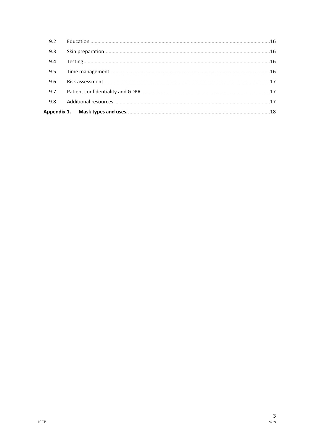| 9.2 |  |
|-----|--|
| 9.3 |  |
| 9.4 |  |
| 9.5 |  |
| 9.6 |  |
| 9.7 |  |
| 9.8 |  |
|     |  |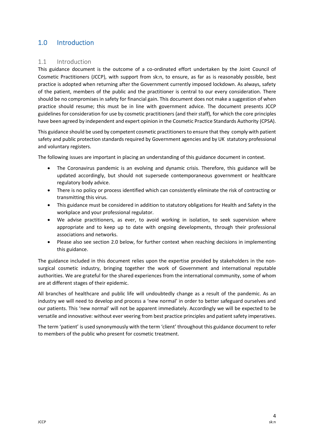## <span id="page-3-0"></span>1.0 Introduction

#### <span id="page-3-1"></span>1.1 Introduction

This guidance document is the outcome of a co-ordinated effort undertaken by the Joint Council of Cosmetic Practitioners (JCCP), with support from sk:n, to ensure, as far as is reasonably possible, best practice is adopted when returning after the Government currently imposed lockdown. As always, safety of the patient, members of the public and the practitioner is central to our every consideration. There should be no compromises in safety for financial gain. This document does not make a suggestion of when practice should resume; this must be in line with government advice. The document presents JCCP guidelines for consideration for use by cosmetic practitioners (and their staff), for which the core principles have been agreed by independent and expert opinion in the Cosmetic Practice Standards Authority (CPSA).

This guidance should be used by competent cosmetic practitioners to ensure that they comply with patient safety and public protection standards required by Government agencies and by UK statutory professional and voluntary registers.

The following issues are important in placing an understanding of this guidance document in context.

- The Coronavirus pandemic is an evolving and dynamic crisis. Therefore, this guidance will be updated accordingly, but should not supersede contemporaneous government or healthcare regulatory body advice.
- There is no policy or process identified which can consistently eliminate the risk of contracting or transmitting this virus.
- This guidance must be considered in addition to statutory obligations for Health and Safety in the workplace and your professional regulator.
- We advise practitioners, as ever, to avoid working in isolation, to seek supervision where appropriate and to keep up to date with ongoing developments, through their professional associations and networks.
- Please also see section 2.0 below, for further context when reaching decisions in implementing this guidance.

The guidance included in this document relies upon the expertise provided by stakeholders in the nonsurgical cosmetic industry, bringing together the work of Government and international reputable authorities. We are grateful for the shared experiences from the international community, some of whom are at different stages of their epidemic.

All branches of healthcare and public life will undoubtedly change as a result of the pandemic. As an industry we will need to develop and process a 'new normal' in order to better safeguard ourselves and our patients. This 'new normal' will not be apparent immediately. Accordingly we will be expected to be versatile and innovative: without ever veering from best practice principles and patient safety imperatives.

The term 'patient' is used synonymously with the term 'client' throughout this guidance document to refer to members of the public who present for cosmetic treatment.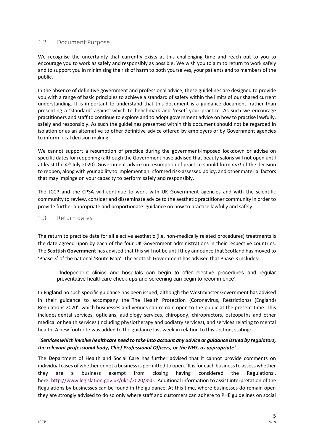#### <span id="page-4-0"></span>1.2 Document Purpose

We recognise the uncertainty that currently exists at this challenging time and reach out to you to encourage you to work as safely and responsibly as possible. We wish you to aim to return to work safely and to support you in minimising the risk of harm to both yourselves, your patients and to members of the public.

In the absence of definitive government and professional advice, these guidelines are designed to provide you with a range of basic principles to achieve a standard of safety within the limits of our shared current understanding. It is important to understand that this document is a guidance document, rather than presenting a 'standard' against which to benchmark and 'reset' your practice. As such we encourage practitioners and staff to continue to explore and to adopt government advice on how to practise lawfully, safely and responsibly. As such the guidelines presented within this document should not be regarded in isolation or as an alternative to other definitive advice offered by employers or by Government agencies to inform local decision making.

We cannot support a resumption of practice during the government-imposed lockdown or advise on specific dates for reopening (although the Government have advised that beauty salons will not open until at least the 4th July 2020). Government advice on resumption of practice should form *part* of the decision to reopen, along with your ability to implement an informed risk-assessed policy, and other material factors that may impinge on your capacity to perform safely and responsibly.

The JCCP and the CPSA will continue to work with UK Government agencies and with the scientific community to review, consider and disseminate advice to the aesthetic practitioner community in order to provide further appropriate and proportionate guidance on how to practise lawfully and safely.

#### <span id="page-4-1"></span>1.3 Return dates

The return to practice date for all elective aesthetic (i.e. non-medically related procedures) treatments is the date agreed upon by each of the four UK Government administrations in their respective countries. The **Scottish Government** has advised that this will not be until they announce that Scotland has moved to 'Phase 3' of the national 'Route Map'. The Scottish Government has advised that Phase 3 includes:

'Independent clinics and hospitals can begin to offer elective procedures and regular preventative healthcare check-ups and screening can begin to recommence'.

In **England** no such specific guidance has been issued, although the Westminster Government has advised in their guidance to accompany the 'The Health Protection (Coronavirus, Restrictions) (England) Regulations 2020', which businesses and venues can remain open to the public at the present time. This includes dental services, opticians, audiology services, chiropody, chiropractors, osteopaths and other medical or health services (including physiotherapy and podiatry services), and services relating to mental health. A new footnote was added to the guidance last week in relation to this section, stating:

#### '*Services which involve healthcare need to take into account any advice or guidance issued by regulators, the relevant professional body, Chief Professional Officers, or the NHS, as appropriate'.*

The Department of Health and Social Care has further advised that it cannot provide comments on individual cases of whether or not a business is permitted to open. 'It is for each business to assess whether they are a business exempt from closing having considered the Regulations'. here: [http://www.legislation.gov.uk/uksi/2020/350.](https://eur02.safelinks.protection.outlook.com/?url=http%3A%2F%2Fwww.legislation.gov.uk%2Fuksi%2F2020%2F350&data=02%7C01%7CPeter.Kurilecz%40beis.gov.uk%7C60a99e062289499aa79808d80313ea8b%7Ccbac700502c143ebb497e6492d1b2dd8%7C0%7C0%7C637262731393679078&sdata=IFdRB%2BvW%2FAl%2FNGY10NDBiH%2Faj2bh7%2BRiwiJLXKijyY0%3D&reserved=0) Additional information to assist interpretation of the Regulations by businesses can be found in the guidance. At this time, where businesses do remain open they are strongly advised to do so only where staff and customers can adhere to PHE guidelines on social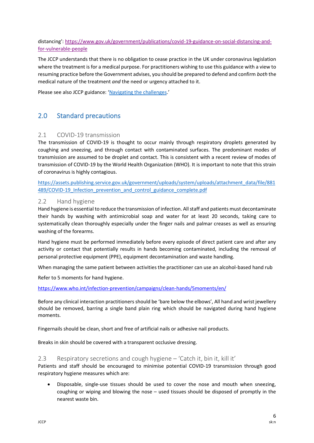distancing': [https://www.gov.uk/government/publications/covid-19-guidance-on-social-distancing-and](https://www.gov.uk/government/publications/covid-19-guidance-on-social-distancing-and-for-vulnerable-people)[for-vulnerable-people](https://www.gov.uk/government/publications/covid-19-guidance-on-social-distancing-and-for-vulnerable-people)

The JCCP understands that there is no obligation to cease practice in the UK under coronavirus legislation where the treatment is for a medical purpose. For practitioners wishing to use this guidance with a view to resuming practice before the Government advises, you should be prepared to defend and confirm *both* the medical nature of the treatment *and* the need or urgency attached to it.

Please see also JCCP guidance: '[Navigating the challenges](https://www.jccp.org.uk/ckfinder/userfiles/files/JCCP%20Statement%20COVID%2019%20%2020%2005%2020%20Final%20version.pdf).'

## <span id="page-5-0"></span>2.0 Standard precautions

#### <span id="page-5-1"></span>2.1 COVID-19 transmission

The transmission of COVID-19 is thought to occur mainly through respiratory droplets generated by coughing and sneezing, and through contact with contaminated surfaces. The predominant modes of transmission are assumed to be droplet and contact. This is consistent with a recent review of modes of transmission of COVID-19 by the World Health Organization (WHO). It is important to note that this strain of coronavirus is highly contagious.

[https://assets.publishing.service.gov.uk/government/uploads/system/uploads/attachment\\_data/file/881](https://assets.publishing.service.gov.uk/government/uploads/system/uploads/attachment_data/file/881489/COVID-19_Infection_prevention_and_control_guidance_complete.pdf) 489/COVID-19 Infection prevention and control guidance complete.pdf

#### <span id="page-5-2"></span>2.2 Hand hygiene

Hand hygiene is essential to reduce the transmission of infection. All staff and patients must decontaminate their hands by washing with antimicrobial soap and water for at least 20 seconds, taking care to systematically clean thoroughly especially under the finger nails and palmar creases as well as ensuring washing of the forearms.

Hand hygiene must be performed immediately before every episode of direct patient care and after any activity or contact that potentially results in hands becoming contaminated, including the removal of personal protective equipment (PPE), equipment decontamination and waste handling.

When managing the same patient between activities the practitioner can use an alcohol-based hand rub

Refer to 5 moments for hand hygiene.

#### <https://www.who.int/infection-prevention/campaigns/clean-hands/5moments/en/>

Before any clinical interaction practitioners should be 'bare below the elbows', All hand and wrist jewellery should be removed, barring a single band plain ring which should be navigated during hand hygiene moments.

Fingernails should be clean, short and free of artificial nails or adhesive nail products.

Breaks in skin should be covered with a transparent occlusive dressing.

#### <span id="page-5-3"></span>2.3 Respiratory secretions and cough hygiene – 'Catch it, bin it, kill it'

Patients and staff should be encouraged to minimise potential COVID-19 transmission through good respiratory hygiene measures which are:

• Disposable, single-use tissues should be used to cover the nose and mouth when sneezing, coughing or wiping and blowing the nose – used tissues should be disposed of promptly in the nearest waste bin.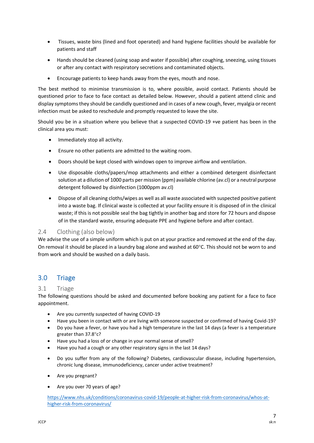- Tissues, waste bins (lined and foot operated) and hand hygiene facilities should be available for patients and staff
- Hands should be cleaned (using soap and water if possible) after coughing, sneezing, using tissues or after any contact with respiratory secretions and contaminated objects.
- Encourage patients to keep hands away from the eyes, mouth and nose.

The best method to minimise transmission is to, where possible, avoid contact. Patients should be questioned prior to face to face contact as detailed below. However, should a patient attend clinic and display symptoms they should be candidly questioned and in cases of a new cough, fever, myalgia or recent infection must be asked to reschedule and promptly requested to leave the site.

Should you be in a situation where you believe that a suspected COVID-19 +ve patient has been in the clinical area you must:

- Immediately stop all activity.
- Ensure no other patients are admitted to the waiting room.
- Doors should be kept closed with windows open to improve airflow and ventilation.
- Use disposable cloths/papers/mop attachments and either a combined detergent disinfectant solution at a dilution of 1000 parts per mission (ppm) available chlorine (av.cl) or a neutral purpose detergent followed by disinfection (1000ppm av.cl)
- Dispose of all cleaning cloths/wipes as well as all waste associated with suspected positive patient into a waste bag. If clinical waste is collected at your facility ensure it is disposed of in the clinical waste; if this is not possible seal the bag tightly in another bag and store for 72 hours and dispose of in the standard waste, ensuring adequate PPE and hygiene before and after contact.

#### <span id="page-6-0"></span>2.4 Clothing (also below)

We advise the use of a simple uniform which is put on at your practice and removed at the end of the day. On removal it should be placed in a laundry bag alone and washed at 60°C. This should not be worn to and from work and should be washed on a daily basis.

## <span id="page-6-1"></span>3.0 Triage

#### <span id="page-6-2"></span>3.1 Triage

The following questions should be asked and documented before booking any patient for a face to face appointment.

- Are you currently suspected of having COVID-19
- Have you been in contact with or are living with someone suspected or confirmed of having Covid-19?
- Do you have a fever, or have you had a high temperature in the last 14 days (a fever is a temperature greater than 37.8°c?
- Have you had a loss of or change in your normal sense of smell?
- Have you had a cough or any other respiratory signs in the last 14 days?
- Do you suffer from any of the following? Diabetes, cardiovascular disease, including hypertension, chronic lung disease, immunodeficiency, cancer under active treatment?
- Are you pregnant?
- Are you over 70 years of age?

[https://www.nhs.uk/conditions/coronavirus-covid-19/people-at-higher-risk-from-coronavirus/whos-at](https://www.nhs.uk/conditions/coronavirus-covid-19/people-at-higher-risk-from-coronavirus/whos-at-higher-risk-from-coronavirus/)[higher-risk-from-coronavirus/](https://www.nhs.uk/conditions/coronavirus-covid-19/people-at-higher-risk-from-coronavirus/whos-at-higher-risk-from-coronavirus/)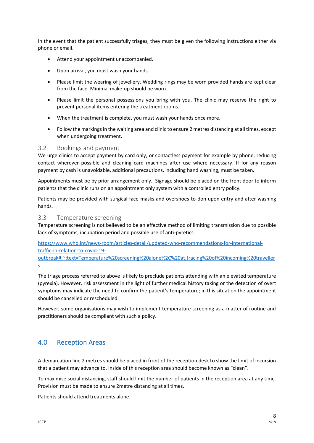In the event that the patient successfully triages, they must be given the following instructions either via phone or email.

- Attend your appointment unaccompanied.
- Upon arrival, you must wash your hands.
- Please limit the wearing of jewellery. Wedding rings may be worn provided hands are kept clear from the face. Minimal make-up should be worn.
- Please limit the personal possessions you bring with you. The clinic may reserve the right to prevent personal items entering the treatment rooms.
- When the treatment is complete, you must wash your hands once more.
- Follow the markings in the waiting area and clinic to ensure 2 metres distancing at all times, except when undergoing treatment.

#### <span id="page-7-0"></span>3.2 Bookings and payment

We urge clinics to accept payment by card only, or contactless payment for example by phone, reducing contact wherever possible and cleaning card machines after use where necessary. If for any reason payment by cash is unavoidable, additional precautions, including hand washing, must be taken.

Appointments must be by prior arrangement only. Signage should be placed on the front door to inform patients that the clinic runs on an appointment only system with a controlled entry policy.

Patients may be provided with surgical face masks and overshoes to don upon entry and after washing hands.

#### <span id="page-7-1"></span>3.3 Temperature screening

Temperature screening is not believed to be an effective method of limiting transmission due to possible lack of symptoms, incubation period and possible use of anti-pyretics.

[https://www.who.int/news-room/articles-detail/updated-who-recommendations-for-international](https://www.who.int/news-room/articles-detail/updated-who-recommendations-for-international-traffic-in-relation-to-covid-19-outbreak#:~:text=Temperature%20screening%20alone%2C%20at,tracing%20of%20incoming%20travellers.)[traffic-in-relation-to-covid-19-](https://www.who.int/news-room/articles-detail/updated-who-recommendations-for-international-traffic-in-relation-to-covid-19-outbreak#:~:text=Temperature%20screening%20alone%2C%20at,tracing%20of%20incoming%20travellers.)

[outbreak#:~:text=Temperature%20screening%20alone%2C%20at,tracing%20of%20incoming%20traveller](https://www.who.int/news-room/articles-detail/updated-who-recommendations-for-international-traffic-in-relation-to-covid-19-outbreak#:~:text=Temperature%20screening%20alone%2C%20at,tracing%20of%20incoming%20travellers.) [s.](https://www.who.int/news-room/articles-detail/updated-who-recommendations-for-international-traffic-in-relation-to-covid-19-outbreak#:~:text=Temperature%20screening%20alone%2C%20at,tracing%20of%20incoming%20travellers.)

The triage process referred to above is likely to preclude patients attending with an elevated temperature (pyrexia). However, risk assessment in the light of further medical history taking or the detection of overt symptoms may indicate the need to confirm the patient's temperature; in this situation the appointment should be cancelled or rescheduled.

However, some organisations may wish to implement temperature screening as a matter of routine and practitioners should be compliant with such a policy.

## <span id="page-7-2"></span>4.0 Reception Areas

A demarcation line 2 metres should be placed in front of the reception desk to show the limit of incursion that a patient may advance to. Inside of this reception area should become known as "clean".

To maximise social distancing, staff should limit the number of patients in the reception area at any time. Provision must be made to ensure 2metre distancing at all times.

Patients should attend treatments alone.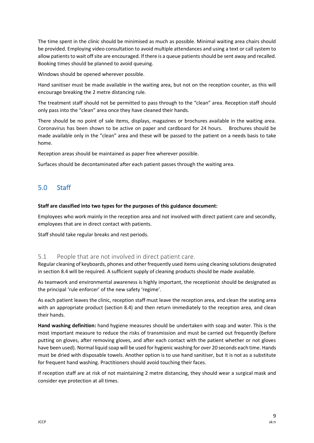The time spent in the clinic should be minimised as much as possible. Minimal waiting area chairs should be provided. Employing video consultation to avoid multiple attendances and using a text or call system to allow patients to wait off site are encouraged. If there is a queue patients should be sent away and recalled. Booking times should be planned to avoid queuing.

Windows should be opened wherever possible.

Hand sanitiser must be made available in the waiting area, but not on the reception counter, as this will encourage breaking the 2 metre distancing rule.

The treatment staff should not be permitted to pass through to the "clean" area. Reception staff should only pass into the "clean" area once they have cleaned their hands.

There should be no point of sale items, displays, magazines or brochures available in the waiting area. Coronavirus has been shown to be active on paper and cardboard for 24 hours. Brochures should be made available only in the "clean" area and these will be passed to the patient on a needs basis to take home.

Reception areas should be maintained as paper free wherever possible.

Surfaces should be decontaminated after each patient passes through the waiting area.

## <span id="page-8-0"></span>5.0 Staff

#### **Staff are classified into two types for the purposes of this guidance document:**

Employees who work mainly in the reception area and not involved with direct patient care and secondly, employees that are in direct contact with patients.

Staff should take regular breaks and rest periods.

#### <span id="page-8-1"></span>5.1 People that are not involved in direct patient care.

Regular cleaning of keyboards, phones and other frequently used items using cleaning solutions designated in section 8.4 will be required. A sufficient supply of cleaning products should be made available.

As teamwork and environmental awareness is highly important, the receptionist should be designated as the principal 'rule enforcer' of the new safety 'regime'.

As each patient leaves the clinic, reception staff must leave the reception area, and clean the seating area with an appropriate product (section 8.4) and then return immediately to the reception area, and clean their hands.

**Hand washing definition:** hand hygiene measures should be undertaken with soap and water. This is the most important measure to reduce the risks of transmission and must be carried out frequently (before putting on gloves, after removing gloves, and after each contact with the patient whether or not gloves have been used). Normal liquid soap will be used for hygienic washing for over 20 seconds each time. Hands must be dried with disposable towels. Another option is to use hand sanitiser, but it is not as a substitute for frequent hand washing. Practitioners should avoid touching their faces.

If reception staff are at risk of not maintaining 2 metre distancing, they should wear a surgical mask and consider eye protection at all times.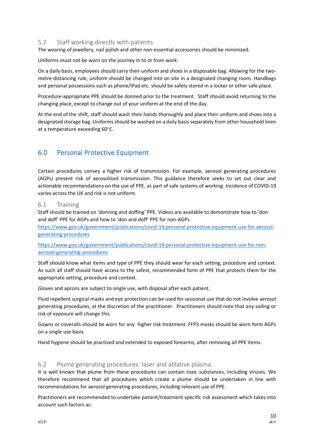#### <span id="page-9-0"></span>5.2 Staff working directly with patients

The wearing of jewellery, nail polish and other non-essential accessories should be minimized.

Uniforms must not be worn on the journey in to or from work.

On a daily basis, employees should carry their uniform and shoes in a disposable bag. Allowing for the twometre distancing rule, uniform should be changed into on site in a designated changing room. Handbags and personal possessions such as phone/iPad etc. should be safely stored in a locker or other safe place.

Procedure-appropriate PPE should be donned prior to the treatment. Staff should avoid returning to the changing place, except to change out of your uniform at the end of the day.

At the end of the shift, staff should wash their hands thoroughly and place their uniform and shoes into a designated storage bag. Uniforms should be washed on a daily basis separately from other household linen at a temperature exceeding 60°C.

## <span id="page-9-1"></span>6.0 Personal Protective Equipment

Certain procedures convey a higher risk of transmission. For example, aerosol generating procedures (AGPs) present risk of aerosolised transmission. This guidance therefore seeks to set out clear and actionable recommendations on the use of PPE, as part of safe systems of working. Incidence of COVID-19 varies across the UK and risk is not uniform.

#### <span id="page-9-2"></span>6.1 Training

Staff should be trained on 'donning and doffing' PPE. Videos are available to demonstrate how to 'don and doff' PPE for AGPs and how to 'don and doff' PPE for non-AGPs.

[https://www.gov.uk/government/publications/covid-19-personal-protective-equipment-use-for-aerosol](https://www.gov.uk/government/publications/covid-19-personal-protective-equipment-use-for-aerosol-generating-procedures)[generating-procedures](https://www.gov.uk/government/publications/covid-19-personal-protective-equipment-use-for-aerosol-generating-procedures)

#### [https://www.gov.uk/government/publications/covid-19-personal-protective-equipment-use-for-non](https://www.gov.uk/government/publications/covid-19-personal-protective-equipment-use-for-non-aerosol-generating-procedures)[aerosol-generating-procedures](https://www.gov.uk/government/publications/covid-19-personal-protective-equipment-use-for-non-aerosol-generating-procedures)

Staff should know what items and type of PPE they should wear for each setting, procedure and context. As such all staff should have access to the safest, recommended form of PPE that protects them for the appropriate setting, procedure and context.

Gloves and aprons are subject to single use, with disposal after each patient.

Fluid repellent surgical masks and eye protection can be used for sessional use that do not involve aerosol generating procedures, at the discretion of the practitioner. Practitioners should note that any soiling or risk of exposure will change this.

Gowns or coveralls should be worn for any higher risk treatment. FFP3 masks should be worn form AGPs on a single use basis.

Hand hygiene should be practised and extended to exposed forearms, after removing all PPE items.

#### <span id="page-9-3"></span>6.2 Plume generating procedures: laser and ablative plasma.

It is well known that plume from these procedures can contain toxic substances, including viruses. We therefore recommend that all procedures which create a plume should be undertaken in line with recommendations for aerosol generating procedures, including relevant use of PPE.

Practitioners are recommended to undertake patient/treatment specific risk assessment which takes into account such factors as: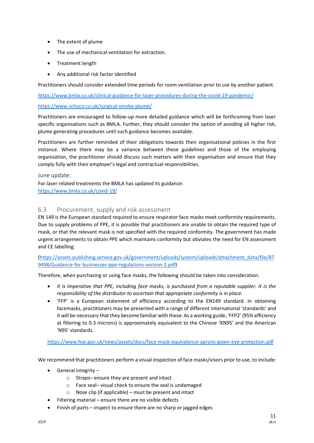- The extent of plume
- The use of mechanical ventilation for extraction.
- Treatment length
- Any additional risk factor identified

Practitioners should consider extended time periods for room ventilation prior to use by another patient.

<https://www.bmla.co.uk/clinical-guidance-for-laser-procedures-during-the-covid-19-pandemic/>

#### <https://www.schuco.co.uk/surgical-smoke-plume/>

Practitioners are encouraged to follow-up more detailed guidance which will be forthcoming from laser specific organisations such as BMLA. Further, they should consider the option of avoiding all higher risk, plume generating procedures until such guidance becomes available.

Practitioners are further reminded of their obligations towards their organisational policies in the first instance. Where there may be a variance between these guidelines and those of the employing organisation, the practitioner should discuss such matters with their organisation and ensure that they comply fully with their employer's legal and contractual responsibilities.

June update: For laser related treatments the BMLA has updated its guidance: <https://www.bmla.co.uk/covid-19/>

#### <span id="page-10-0"></span>6.3 Procurement, supply and risk assessment

EN 149 is the European standard required to ensure respirator face masks meet conformity requirements. Due to supply problems of PPE, it is possible that practitioners are unable to obtain the required type of mask, or that the relevant mask is not specified with the required conformity. The government has made urgent arrangements to obtain PPE which maintains conformity but obviates the need for EN assessment and CE labelling.

[\(https://assets.publishing.service.gov.uk/government/uploads/system/uploads/attachment\\_data/file/87](https://assets.publishing.service.gov.uk/government/uploads/system/uploads/attachment_data/file/879498/Guidance-for-businesses-ppe-regulations-version-2.pdf) [9498/Guidance-for-businesses-ppe-regulations-version-2.pdf\)](https://assets.publishing.service.gov.uk/government/uploads/system/uploads/attachment_data/file/879498/Guidance-for-businesses-ppe-regulations-version-2.pdf)

Therefore, when purchasing or using face masks, the following should be taken into consideration.

- *It is imperative that PPE, including face masks, is purchased from a reputable supplier. It is the responsibility of the distributor to ascertain that appropriate conformity is in place.*
- 'FFP' is a European statement of efficiency according to the EN149 standard. In obtaining facemasks, practitioners may be presented with a range of different international 'standards' and it will be necessary that they become familiar with these. As a working guide, 'FFP2' (95% efficiency at filtering to 0.3 microns) is approximately equivalent to the Chinese 'KN95' and the American 'N95' standards.

[https://www.hse.gov.uk/news/assets/docs/face-mask-equivalence-aprons-gown-eye-protection.pdf](https://www.hse.gov.uk/news/face-mask-equivalence-aprons-gowns-eye-protection-coronavirus.htm)

We recommend that practitioners perform a visual inspection of face masks/visors prior to use, to include:

- General integrity
	- o Straps– ensure they are present and intact
	- o Face seal– visual check to ensure the seal is undamaged
	- $\circ$  Nose clip (if applicable) must be present and intact
- Filtering material ensure there are no visible defects
- Finish of parts inspect to ensure there are no sharp or jagged edges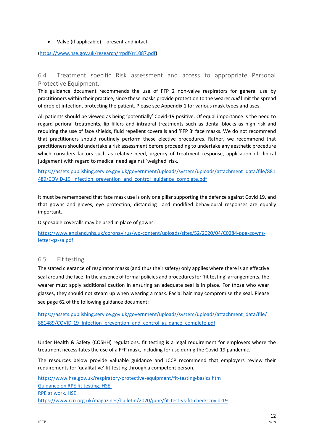• Valve (if applicable) – present and intact

[\(https://www.hse.gov.uk/research/rrpdf/rr1087.pdf\)](https://www.hse.gov.uk/research/rrpdf/rr1087.pdf)

#### <span id="page-11-0"></span>6.4 Treatment specific Risk assessment and access to appropriate Personal Protective Equipment.

This guidance document recommends the use of FFP 2 non-valve respirators for general use by practitioners within their practice, since these masks provide protection to the wearer *and* limit the spread of droplet infection, protecting the patient. Please see Appendix 1 for various mask types and uses.

All patients should be viewed as being 'potentially' Covid-19 positive. Of equal importance is the need to regard perioral treatments, lip fillers and intraoral treatments such as dental blocks as high risk and requiring the use of face shields, fluid repellent coveralls and 'FFP 3' face masks. We do not recommend that practitioners should routinely perform these elective procedures. Rather, we recommend that practitioners should undertake a risk assessment before proceeding to undertake any aesthetic procedure which considers factors such as relative need, urgency of treatment response, application of clinical judgement with regard to medical need against 'weighed' risk.

[https://assets.publishing.service.gov.uk/government/uploads/system/uploads/attachment\\_data/file/881](https://assets.publishing.service.gov.uk/government/uploads/system/uploads/attachment_data/file/881489/COVID-19_Infection_prevention_and_control_guidance_complete.pdf) 489/COVID-19 Infection prevention and control guidance complete.pdf

It must be remembered that face mask use is only one pillar supporting the defence against Covid 19, and that gowns and gloves, eye protection, distancing and modified behavioural responses are equally important.

Disposable coveralls may be used in place of gowns.

[https://www.england.nhs.uk/coronavirus/wp-content/uploads/sites/52/2020/04/C0284-ppe-gowns](https://www.england.nhs.uk/coronavirus/wp-content/uploads/sites/52/2020/04/C0284-ppe-gowns-letter-qa-sa.pdf)[letter-qa-sa.pdf](https://www.england.nhs.uk/coronavirus/wp-content/uploads/sites/52/2020/04/C0284-ppe-gowns-letter-qa-sa.pdf)

#### <span id="page-11-1"></span>6.5 Fit testing.

The stated clearance of respirator masks (and thus their safety) only applies where there is an effective seal around the face. In the absence of formal policies and procedures for 'fit testing' arrangements, the wearer must apply additional caution in ensuring an adequate seal is in place. For those who wear glasses, they should not steam up when wearing a mask. Facial hair may compromise the seal. Please see page 62 of the following guidance document:

[https://assets.publishing.service.gov.uk/government/uploads/system/uploads/attachment\\_data/file/](https://assets.publishing.service.gov.uk/government/uploads/system/uploads/attachment_data/file/881489/COVID-19_Infection_prevention_and_control_guidance_complete.pdf) 881489/COVID-19 Infection prevention and control guidance complete.pdf

Under Health & Safety (COSHH) regulations, fit testing is a legal requirement for employers where the treatment necessitates the use of a FFP mask, including for use during the Covid-19 pandemic.

The resources below provide valuable guidance and JCCP recommend that employers review their requirements for 'qualitative' fit testing through a competent person.

[https://www.hse.gov.uk/respiratory-protective-equipment/fit-testing-basics.htm](https://www.hse.gov.uk/pubns/indg479.pdf) [Guidance on RPE fit testing. HSE.](https://www.hse.gov.uk/pubns/indg479.pdf) [RPE at work. HSE](https://www.hse.gov.uk/pubns/indg479.pdf) <https://www.rcn.org.uk/magazines/bulletin/2020/june/fit-test-vs-fit-check-covid-19>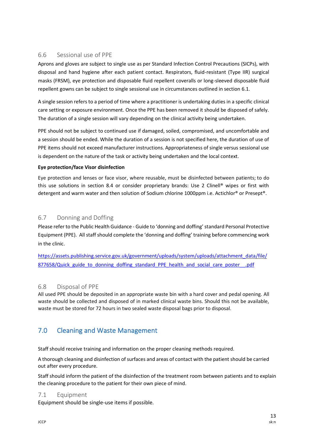#### <span id="page-12-0"></span>6.6 Sessional use of PPE

Aprons and gloves are subject to single use as per Standard Infection Control Precautions (SICPs), with disposal and hand hygiene after each patient contact. Respirators, fluid-resistant (Type IIR) surgical masks (FRSM), eye protection and disposable fluid repellent coveralls or long-sleeved disposable fluid repellent gowns can be subject to single sessional use in circumstances outlined in section 6.1.

A single session refers to a period of time where a practitioner is undertaking duties in a specific clinical care setting or exposure environment. Once the PPE has been removed it should be disposed of safely. The duration of a single session will vary depending on the clinical activity being undertaken.

PPE should not be subject to continued use if damaged, soiled, compromised, and uncomfortable and a session should be ended. While the duration of a session is not specified here, the duration of use of PPE items should not exceed manufacturer instructions. Appropriateness of single versus sessional use is dependent on the nature of the task or activity being undertaken and the local context.

#### **Eye protection/face Visor disinfection**

Eye protection and lenses or face visor, where reusable, must be disinfected between patients; to do this use solutions in section 8.4 or consider proprietary brands: Use 2 Clinell® wipes or first with detergent and warm water and then solution of Sodium chlorine 1000ppm i.e. Actichlor® or Presept®.

#### <span id="page-12-1"></span>6.7 Donning and Doffing

Please refer to the Public Health Guidance - Guide to 'donning and doffing'standard Personal Protective Equipment (PPE). All staff should complete the 'donning and doffing' training before commencing work in the clinic.

[https://assets.publishing.service.gov.uk/government/uploads/system/uploads/attachment\\_data/file/](https://assets.publishing.service.gov.uk/government/uploads/system/uploads/attachment_data/file/877658/Quick_guide_to_donning_doffing_standard_PPE_health_and_social_care_poster__.pdf) [877658/Quick\\_guide\\_to\\_donning\\_doffing\\_standard\\_PPE\\_health\\_and\\_social\\_care\\_poster\\_\\_.pdf](https://assets.publishing.service.gov.uk/government/uploads/system/uploads/attachment_data/file/877658/Quick_guide_to_donning_doffing_standard_PPE_health_and_social_care_poster__.pdf)

#### <span id="page-12-2"></span>6.8 Disposal of PPE

All used PPE should be deposited in an appropriate waste bin with a hard cover and pedal opening. All waste should be collected and disposed of in marked clinical waste bins. Should this not be available, waste must be stored for 72 hours in two sealed waste disposal bags prior to disposal.

## <span id="page-12-3"></span>7.0 Cleaning and Waste Management

Staff should receive training and information on the proper cleaning methods required.

A thorough cleaning and disinfection of surfaces and areas of contact with the patient should be carried out after every procedure.

Staff should inform the patient of the disinfection of the treatment room between patients and to explain the cleaning procedure to the patient for their own piece of mind.

#### <span id="page-12-4"></span>7.1 Equipment

Equipment should be single-use items if possible.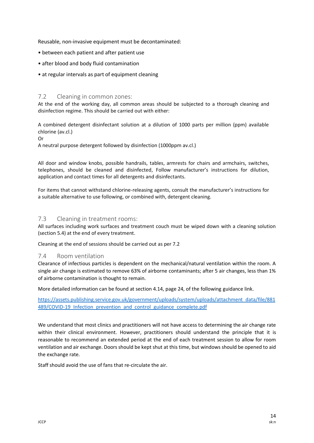Reusable, non-invasive equipment must be decontaminated:

- between each patient and after patient use
- after blood and body fluid contamination
- at regular intervals as part of equipment cleaning

#### <span id="page-13-0"></span>7.2 Cleaning in common zones:

At the end of the working day, all common areas should be subjected to a thorough cleaning and disinfection regime. This should be carried out with either:

A combined detergent disinfectant solution at a dilution of 1000 parts per million (ppm) available chlorine (av.cl.)

Or

A neutral purpose detergent followed by disinfection (1000ppm av.cl.)

All door and window knobs, possible handrails, tables, armrests for chairs and armchairs, switches, telephones, should be cleaned and disinfected, Follow manufacturer's instructions for dilution, application and contact times for all detergents and disinfectants.

For items that cannot withstand chlorine-releasing agents, consult the manufacturer's instructions for a suitable alternative to use following, or combined with, detergent cleaning.

#### <span id="page-13-1"></span>7.3 Cleaning in treatment rooms:

All surfaces including work surfaces and treatment couch must be wiped down with a cleaning solution (section 5.4) at the end of every treatment.

Cleaning at the end of sessions should be carried out as per 7.2

#### <span id="page-13-2"></span>7.4 Room ventilation

Clearance of infectious particles is dependent on the mechanical/natural ventilation within the room. A single air change is estimated to remove 63% of airborne contaminants; after 5 air changes, less than 1% of airborne contamination is thought to remain.

More detailed information can be found at section 4.14, page 24, of the following guidance link.

[https://assets.publishing.service.gov.uk/government/uploads/system/uploads/attachment\\_data/file/881](https://assets.publishing.service.gov.uk/government/uploads/system/uploads/attachment_data/file/881489/COVID-19_Infection_prevention_and_control_guidance_complete.pdf) 489/COVID-19 Infection prevention and control guidance complete.pdf

We understand that most clinics and practitioners will not have access to determining the air change rate within their clinical environment. However, practitioners should understand the principle that it is reasonable to recommend an extended period at the end of each treatment session to allow for room ventilation and air exchange. Doors should be kept shut at this time, but windows should be opened to aid the exchange rate.

Staff should avoid the use of fans that re-circulate the air.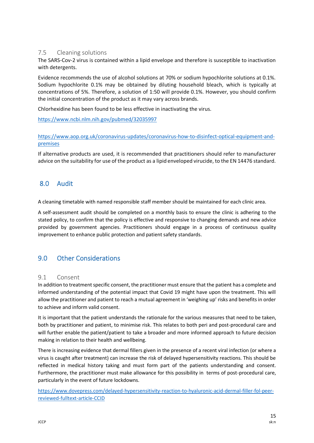#### <span id="page-14-0"></span>7.5 Cleaning solutions

The SARS-Cov-2 virus is contained within a lipid envelope and therefore is susceptible to inactivation with detergents.

Evidence recommends the use of alcohol solutions at 70% or sodium hypochlorite solutions at 0.1%. Sodium hypochlorite 0.1% may be obtained by diluting household bleach, which is typically at concentrations of 5%. Therefore, a solution of 1:50 will provide 0.1%. However, you should confirm the initial concentration of the product as it may vary across brands.

Chlorhexidine has been found to be less effective in inactivating the virus.

[https://www.ncbi.nlm.nih.gov/pubmed/32035997](https://www.aop.org.uk/coronavirus-updates/coronavirus-how-to-disinfect-optical-equipment-and-premises)

[https://www.aop.org.uk/coronavirus-updates/coronavirus-how-to-disinfect-optical-equipment-and](https://www.aop.org.uk/coronavirus-updates/coronavirus-how-to-disinfect-optical-equipment-and-premises)[premises](https://www.aop.org.uk/coronavirus-updates/coronavirus-how-to-disinfect-optical-equipment-and-premises)

If alternative products are used, it is recommended that practitioners should refer to manufacturer advice on the suitability for use of the product as a lipid enveloped virucide, to the EN 14476 standard.

## <span id="page-14-1"></span>8.0 Audit

A cleaning timetable with named responsible staff member should be maintained for each clinic area.

A self-assessment audit should be completed on a monthly basis to ensure the clinic is adhering to the stated policy, to confirm that the policy is effective and responsive to changing demands and new advice provided by government agencies. Practitioners should engage in a process of continuous quality improvement to enhance public protection and patient safety standards.

## <span id="page-14-2"></span>9.0 Other Considerations

#### <span id="page-14-3"></span>9.1 Consent

In addition to treatment specific consent, the practitioner must ensure that the patient has a complete and informed understanding of the potential impact that Covid 19 might have upon the treatment. This will allow the practitioner and patient to reach a mutual agreement in 'weighing up' risks and benefits in order to achieve and inform valid consent.

It is important that the patient understands the rationale for the various measures that need to be taken, both by practitioner and patient, to minimise risk. This relates to both peri and post-procedural care and will further enable the patient/patient to take a broader and more informed approach to future decision making in relation to their health and wellbeing.

There is increasing evidence that dermal fillers given in the presence of a recent viral infection (or where a virus is caught after treatment) can increase the risk of delayed hypersensitivity reactions. This should be reflected in medical history taking and must form part of the patients understanding and consent. Furthermore, the practitioner must make allowance for this possibility in terms of post-procedural care, particularly in the event of future lockdowns.

[https://www.dovepress.com/delayed-hypersensitivity-reaction-to-hyaluronic-acid-dermal-filler-fol-peer](https://www.dovepress.com/delayed-hypersensitivity-reaction-to-hyaluronic-acid-dermal-filler-fol-peer-reviewed-fulltext-article-CCID)[reviewed-fulltext-article-CCID](https://www.dovepress.com/delayed-hypersensitivity-reaction-to-hyaluronic-acid-dermal-filler-fol-peer-reviewed-fulltext-article-CCID)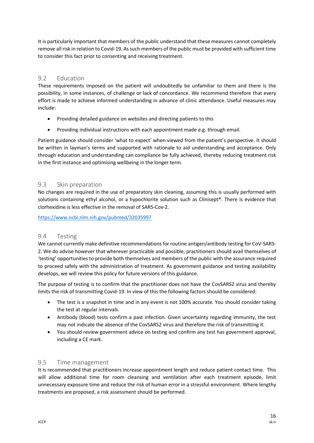It is particularly important that members of the public understand that these measures cannot completely remove all risk in relation to Covid-19. As such members of the public must be provided with sufficient time to consider this fact prior to consenting and receiving treatment.

#### <span id="page-15-0"></span>9.2 Education

These requirements imposed on the patient will undoubtedly be unfamiliar to them and there is the possibility, in some instances, of challenge or lack of concordance. We recommend therefore that every effort is made to achieve informed understanding in advance of clinic attendance. Useful measures may include:

- Providing detailed guidance on websites and directing patients to this
- Providing individual instructions with each appointment made e.g. through email.

Patient guidance should consider 'what to expect' when viewed from the patient's perspective. It should be written in layman's terms and supported with rationale to aid understanding and acceptance. Only through education and understanding can compliance be fully achieved, thereby reducing treatment risk in the first instance and optimising wellbeing in the longer term.

#### <span id="page-15-1"></span>9.3 Skin preparation

No changes are required in the use of preparatory skin cleaning, assuming this is usually performed with solutions containing ethyl alcohol, or a hypochlorite solution such as Clinisept®. There is evidence that clorhexidine is less effective in the removal of SARS-Cov-2.

<https://www.ncbi.nlm.nih.gov/pubmed/32035997>

#### <span id="page-15-2"></span>9.4 Testing

We cannot currently make definitive recommendations for routine antigen/antibody testing for CoV-SARS-2. We do advise however that wherever practicable and possible, practitioners should avail themselves of 'testing' opportunities to provide both themselves and members of the public with the assurance required to proceed safely with the administration of treatment. As government guidance and testing availability develops, we will review this policy for future versions of this guidance.

The purpose of testing is to confirm that the practitioner does not have the CovSARS2 virus and thereby limits the risk of transmitting Covid-19. In view of this the following factors should be considered:

- The test is a snapshot in time and in any event is not 100% accurate. You should consider taking the test at regular intervals.
- Antibody (blood) tests confirm a past infection. Given uncertainty regarding immunity, the test may not indicate the absence of the CovSARS2 virus and therefore the risk of transmitting it.
- You should review government advice on testing and confirm any test has government approval, including a CE mark.

#### <span id="page-15-3"></span>9.5 Time management

It is recommended that practitioners increase appointment length and reduce patient contact time. This will allow additional time for room cleansing and ventilation after each treatment episode, limit unnecessary exposure time and reduce the risk of human error in a stressful environment. Where lengthy treatments are proposed, a risk assessment should be performed.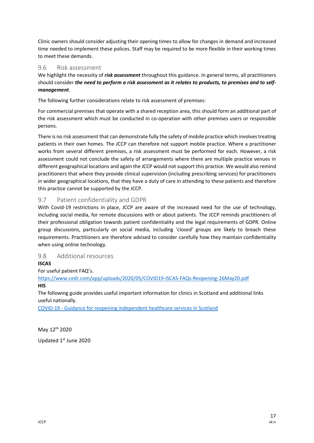Clinic owners should consider adjusting their opening times to allow for changes in demand and increased time needed to implement these polices. Staff may be required to be more flexible in their working times to meet these demands.

#### <span id="page-16-0"></span>9.6 Risk assessment

We highlight the necessity of *risk assessment* throughout this guidance. In general terms, all practitioners should consider *the need to perform a risk assessment as it relates to products, to premises and to selfmanagement*.

The following further considerations relate to risk assessment of premises:

For commercial premises that operate with a shared reception area, this should form an additional part of the risk assessment which must be conducted in co-operation with other premises users or responsible persons.

There is no risk assessment that can demonstrate fully the safety of mobile practice which involves treating patients in their own homes. The JCCP can therefore not support mobile practice. Where a practitioner works from several different premises, a risk assessment must be performed for each. However, a risk assessment could not conclude the safety of arrangements where there are multiple practice venues in different geographical locations and again the JCCP would not support this practice. We would also remind practitioners that where they provide clinical supervision (including prescribing services) for practitioners in wider geographical locations, that they have a duty of care in attending to these patients and therefore this practice cannot be supported by the JCCP.

## <span id="page-16-1"></span>9.7 Patient confidentiality and GDPR

With Covid-19 restrictions in place, JCCP are aware of the increased need for the use of technology, including social media, for remote discussions with or about patients. The JCCP reminds practitioners of their professional obligation towards patient confidentiality and the legal requirements of GDPR. Online group discussions, particularly on social media, including 'closed' groups are likely to breach these requirements. Practitioners are therefore advised to consider carefully how they maintain confidentiality when using online technology.

#### <span id="page-16-2"></span>9.8 Additional resources

#### **ISCAS**

For useful patient FAQ's.

<https://www.cedr.com/app/uploads/2020/05/COVID19-ISCAS-FAQs-Reopening-26May20.pdf> **HIS**

The following guide provides useful important information for clinics in Scotland and additional links useful nationally.

COVID-19 - [Guidance for reopening independent healthcare services in Scotland](http://www.healthcareimprovementscotland.org/our_work/inspecting_and_regulating_care/independent_healthcare/information_for_providers/idoc.ashx?docid=12e73e1e-dabf-4956-b530-d776317c3bf4&version=-1)

May 12<sup>th</sup> 2020

Updated 1st June 2020